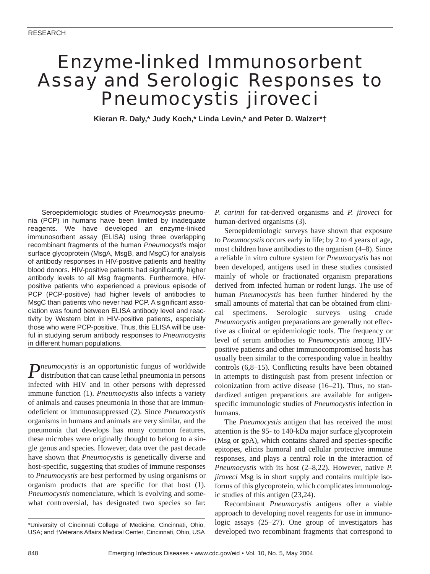# Enzyme-linked Immunosorbent Assay and Serologic Responses to *Pneumocystis jiroveci*

**Kieran R. Daly,\* Judy Koch,\* Linda Levin,\* and Peter D. Walzer\*†**

Seroepidemiologic studies of *Pneumocystis* pneumonia (PCP) in humans have been limited by inadequate reagents. We have developed an enzyme-linked immunosorbent assay (ELISA) using three overlapping recombinant fragments of the human *Pneumocystis* major surface glycoprotein (MsgA, MsgB, and MsgC) for analysis of antibody responses in HIV-positive patients and healthy blood donors. HIV-positive patients had significantly higher antibody levels to all Msg fragments. Furthermore, HIVpositive patients who experienced a previous episode of PCP (PCP-positive) had higher levels of antibodies to MsgC than patients who never had PCP. A significant association was found between ELISA antibody level and reactivity by Western blot in HIV-positive patients, especially those who were PCP-positive. Thus, this ELISA will be useful in studying serum antibody responses to *Pneumocystis* in different human populations.

*Pneumocystis* is an opportunistic fungus of worldwide distribution that can cause lethal pneumonia in persons infected with HIV and in other persons with depressed immune function (1). *Pneumocystis* also infects a variety of animals and causes pneumonia in those that are immunodeficient or immunosuppressed (2). Since *Pneumocystis* organisms in humans and animals are very similar, and the pneumonia that develops has many common features, these microbes were originally thought to belong to a single genus and species. However, data over the past decade have shown that *Pneumocystis* is genetically diverse and host-specific, suggesting that studies of immune responses to *Pneumocystis* are best performed by using organisms or organism products that are specific for that host (1). *Pneumocystis* nomenclature, which is evolving and somewhat controversial, has designated two species so far:

*P. carinii* for rat-derived organisms and *P. jiroveci* for human-derived organisms (3).

Seroepidemiologic surveys have shown that exposure to *Pneumocystis* occurs early in life; by 2 to 4 years of age, most children have antibodies to the organism (4–8). Since a reliable in vitro culture system for *Pneumocystis* has not been developed, antigens used in these studies consisted mainly of whole or fractionated organism preparations derived from infected human or rodent lungs. The use of human *Pneumocystis* has been further hindered by the small amounts of material that can be obtained from clinical specimens. Serologic surveys using crude *Pneumocystis* antigen preparations are generally not effective as clinical or epidemiologic tools. The frequency or level of serum antibodies to *Pneumocystis* among HIVpositive patients and other immunocompromised hosts has usually been similar to the corresponding value in healthy controls (6,8–15). Conflicting results have been obtained in attempts to distinguish past from present infection or colonization from active disease (16–21). Thus, no standardized antigen preparations are available for antigenspecific immunologic studies of *Pneumocystis* infection in humans.

The *Pneumocystis* antigen that has received the most attention is the 95- to 140-kDa major surface glycoprotein (Msg or gpA), which contains shared and species-specific epitopes, elicits humoral and cellular protective immune responses, and plays a central role in the interaction of *Pneumocystis* with its host (2–8,22). However, native *P. jiroveci* Msg is in short supply and contains multiple isoforms of this glycoprotein, which complicates immunologic studies of this antigen (23,24).

Recombinant *Pneumocystis* antigens offer a viable approach to developing novel reagents for use in immunologic assays (25–27). One group of investigators has developed two recombinant fragments that correspond to

<sup>\*</sup>University of Cincinnati College of Medicine, Cincinnati, Ohio, USA; and †Veterans Affairs Medical Center, Cincinnati, Ohio, USA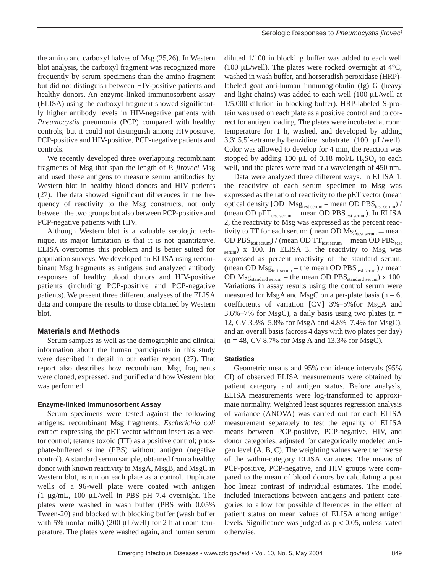the amino and carboxyl halves of Msg (25,26). In Western blot analysis, the carboxyl fragment was recognized more frequently by serum specimens than the amino fragment but did not distinguish between HIV-positive patients and healthy donors. An enzyme-linked immunosorbent assay (ELISA) using the carboxyl fragment showed significantly higher antibody levels in HIV-negative patients with *Pneumocystis* pneumonia (PCP) compared with healthy controls, but it could not distinguish among HIVpositive, PCP-positive and HIV-positive, PCP-negative patients and controls.

We recently developed three overlapping recombinant fragments of Msg that span the length of *P. jiroveci* Msg and used these antigens to measure serum antibodies by Western blot in healthy blood donors and HIV patients (27). The data showed significant differences in the frequency of reactivity to the Msg constructs, not only between the two groups but also between PCP-positive and PCP-negative patients with HIV.

Although Western blot is a valuable serologic technique, its major limitation is that it is not quantitative. ELISA overcomes this problem and is better suited for population surveys. We developed an ELISA using recombinant Msg fragments as antigens and analyzed antibody responses of healthy blood donors and HIV-positive patients (including PCP-positive and PCP-negative patients). We present three different analyses of the ELISA data and compare the results to those obtained by Western blot.

## **Materials and Methods**

Serum samples as well as the demographic and clinical information about the human participants in this study were described in detail in our earlier report (27). That report also describes how recombinant Msg fragments were cloned, expressed, and purified and how Western blot was performed.

#### **Enzyme-linked Immunosorbent Assay**

Serum specimens were tested against the following antigens: recombinant Msg fragments; *Escherichia coli* extract expressing the pET vector without insert as a vector control; tetanus toxoid (TT) as a positive control; phosphate-buffered saline (PBS) without antigen (negative control). A standard serum sample, obtained from a healthy donor with known reactivity to MsgA, MsgB, and MsgC in Western blot, is run on each plate as a control. Duplicate wells of a 96-well plate were coated with antigen (1 µg/mL, 100 µL/well in PBS pH 7.4 overnight. The plates were washed in wash buffer (PBS with 0.05% Tween-20) and blocked with blocking buffer (wash buffer with 5% nonfat milk) (200  $\mu$ L/well) for 2 h at room temperature. The plates were washed again, and human serum

diluted 1/100 in blocking buffer was added to each well (100  $\mu$ L/well). The plates were rocked overnight at 4 $\rm{°C}$ , washed in wash buffer, and horseradish peroxidase (HRP) labeled goat anti-human immunoglobulin (Ig) G (heavy and light chains) was added to each well  $(100 \mu L/well$  at 1/5,000 dilution in blocking buffer). HRP-labeled S-protein was used on each plate as a positive control and to correct for antigen loading. The plates were incubated at room temperature for 1 h, washed, and developed by adding 3,3′,5,5′-tetramethylbenzidine substrate (100 µL/well). Color was allowed to develop for 4 min, the reaction was stopped by adding 100  $\mu$ L of 0.18 mol/L H<sub>2</sub>SO<sub>4</sub> to each well, and the plates were read at a wavelength of 450 nm.

Data were analyzed three different ways. In ELISA 1, the reactivity of each serum specimen to Msg was expressed as the ratio of reactivity to the pET vector (mean optical density [OD]  $Msg_{test\, serum}$  – mean OD PBS $_{test\, serum}$ ) / (mean OD  $pET_{test\, serum}$  — mean OD  $PBS_{test\, serum}$ ). In ELISA 2, the reactivity to Msg was expressed as the percent reactivity to TT for each serum: (mean OD  $\text{Msg}_{\text{test serum}} - \text{mean}$ OD  $\mathrm{PBS_{test\,serum}}$ ) / (mean OD TT $_{\mathrm{test\,serum}}$  — mean OD  $\mathrm{PBS_{test}}$  $_{\text{serum}}$ ) x 100. In ELISA 3, the reactivity to Msg was expressed as percent reactivity of the standard serum: (mean OD  $Msg_{test, serum}$  – the mean OD  $PBS_{test, serum}$ ) / mean OD  $Msg_{standard\; serum}$  – the mean OD PBS standard serum) x 100. Variations in assay results using the control serum were measured for MsgA and MsgC on a per-plate basis ( $n = 6$ , coefficients of variation [CV] 3%–5%for MsgA and  $3.6\% - 7\%$  for MsgC), a daily basis using two plates (n = 12, CV 3.3%–5.8% for MsgA and 4.8%–7.4% for MsgC), and an overall basis (across 4 days with two plates per day)  $(n = 48, CV 8.7\%$  for Msg A and 13.3% for MsgC).

### **Statistics**

Geometric means and 95% confidence intervals (95% CI) of observed ELISA measurements were obtained by patient category and antigen status. Before analysis, ELISA measurements were log-transformed to approximate normality. Weighted least squares regression analysis of variance (ANOVA) was carried out for each ELISA measurement separately to test the equality of ELISA means between PCP-positive, PCP-negative, HIV, and donor categories, adjusted for categorically modeled antigen level (A, B, C). The weighting values were the inverse of the within-category ELISA variances. The means of PCP-positive, PCP-negative, and HIV groups were compared to the mean of blood donors by calculating a post hoc linear contrast of individual estimates. The model included interactions between antigens and patient categories to allow for possible differences in the effect of patient status on mean values of ELISA among antigen levels. Significance was judged as  $p < 0.05$ , unless stated otherwise.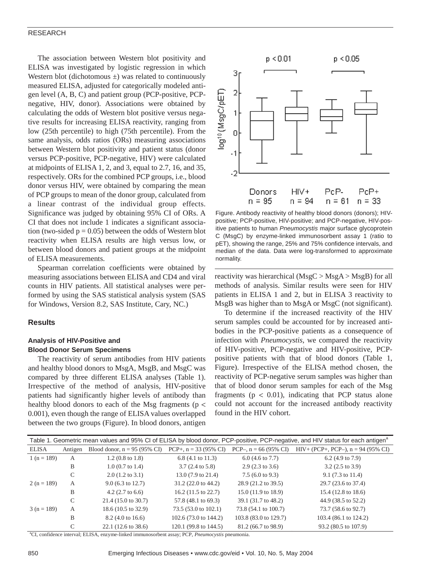## RESEARCH

The association between Western blot positivity and ELISA was investigated by logistic regression in which Western blot (dichotomous  $\pm$ ) was related to continuously measured ELISA, adjusted for categorically modeled antigen level (A, B, C) and patient group (PCP-positive, PCPnegative, HIV, donor). Associations were obtained by calculating the odds of Western blot positive versus negative results for increasing ELISA reactivity, ranging from low (25th percentile) to high (75th percentile). From the same analysis, odds ratios (ORs) measuring associations between Western blot positivity and patient status (donor versus PCP-positive, PCP-negative, HIV) were calculated at midpoints of ELISA 1, 2, and 3, equal to 2.7, 16, and 35, respectively. ORs for the combined PCP groups, i.e., blood donor versus HIV, were obtained by comparing the mean of PCP groups to mean of the donor group, calculated from a linear contrast of the individual group effects. Significance was judged by obtaining 95% CI of ORs. A CI that does not include 1 indicates a significant association (two-sided  $p = 0.05$ ) between the odds of Western blot reactivity when ELISA results are high versus low, or between blood donors and patient groups at the midpoint of ELISA measurements.

Spearman correlation coefficients were obtained by measuring associations between ELISA and CD4 and viral counts in HIV patients. All statistical analyses were performed by using the SAS statistical analysis system (SAS for Windows, Version 8.2, SAS Institute, Cary, NC.)

## **Results**

# **Analysis of HIV-Positive and Blood Donor Serum Specimens**

The reactivity of serum antibodies from HIV patients and healthy blood donors to MsgA, MsgB, and MsgC was compared by three different ELISA analyses (Table 1). Irrespective of the method of analysis, HIV-positive patients had significantly higher levels of antibody than healthy blood donors to each of the Msg fragments (p < 0.001), even though the range of ELISA values overlapped between the two groups (Figure). In blood donors, antigen



Figure. Antibody reactivity of healthy blood donors (donors); HIVpositive; PCP-positive, HIV-positive; and PCP-negative, HIV-positive patients to human *Pneumocystis* major surface glycoprotein C (MsgC) by enzyme-linked immunosorbent assay 1 (ratio to pET), showing the range, 25% and 75% confidence intervals, and median of the data. Data were log-transformed to approximate normality.

reactivity was hierarchical (MsgC > MsgA > MsgB) for all methods of analysis. Similar results were seen for HIV patients in ELISA 1 and 2, but in ELISA 3 reactivity to MsgB was higher than to MsgA or MsgC (not significant).

To determine if the increased reactivity of the HIV serum samples could be accounted for by increased antibodies in the PCP-positive patients as a consequence of infection with *Pneumocystis*, we compared the reactivity of HIV-positive, PCP-negative and HIV-positive, PCPpositive patients with that of blood donors (Table 1, Figure). Irrespective of the ELISA method chosen, the reactivity of PCP-negative serum samples was higher than that of blood donor serum samples for each of the Msg fragments ( $p < 0.01$ ), indicating that PCP status alone could not account for the increased antibody reactivity found in the HIV cohort.

| Table 1. Geometric mean values and 95% CI of ELISA by blood donor, PCP-positive, PCP-negative, and HIV status for each antigen <sup>4</sup> |         |                                         |                               |                                  |                                        |
|---------------------------------------------------------------------------------------------------------------------------------------------|---------|-----------------------------------------|-------------------------------|----------------------------------|----------------------------------------|
| ELISA                                                                                                                                       | Antigen | Blood donor, $n = 95 (95\% \text{ CI})$ | $PCP+, n = 33 (95\% CI)$      | PCP-, $n = 66 (95\% \text{ CI})$ | $HIV+$ (PCP+, PCP-), $n = 94$ (95% CI) |
| $1(n = 189)$                                                                                                                                | A       | $1.2(0.8 \text{ to } 1.8)$              | $6.8$ (4.1 to 11.3)           | $6.0$ (4.6 to 7.7)               | 6.2 $(4.9 \text{ to } 7.9)$            |
|                                                                                                                                             | B       | $1.0$ (0.7 to 1.4)                      | $3.7(2.4 \text{ to } 5.8)$    | $2.9(2.3 \text{ to } 3.6)$       | $3.2$ (2.5 to 3.9)                     |
|                                                                                                                                             | C       | $2.0$ (1.2 to 3.1)                      | 13.0 (7.9 to 21.4)            | $7.5(6.0 \text{ to } 9.3)$       | $9.1(7.3 \text{ to } 11.4)$            |
| $2(n = 189)$                                                                                                                                | A       | $9.0$ (6.3 to 12.7)                     | $31.2(22.0 \text{ to } 44.2)$ | 28.9 (21.2 to 39.5)              | 29.7 (23.6 to 37.4)                    |
|                                                                                                                                             | B       | $4.2$ (2.7 to 6.6)                      | $16.2$ (11.5 to 22.7)         | $15.0(11.9 \text{ to } 18.9)$    | 15.4 (12.8 to 18.6)                    |
|                                                                                                                                             | C       | $21.4(15.0 \text{ to } 30.7)$           | 57.8 (48.1 to 69.3)           | 39.1 (31.7 to 48.2)              | 44.9 (38.5 to 52.2)                    |
| $3(n = 189)$                                                                                                                                | A       | 18.6 (10.5 to 32.9)                     | 73.5 (53.0 to 102.1)          | 73.8 (54.1 to 100.7)             | 73.7 (58.6 to 92.7)                    |
|                                                                                                                                             | B       | 8.2 (4.0 to 16.6)                       | 102.6 (73.0 to 144.2)         | 103.8 (83.0 to 129.7)            | 103.4 (86.1 to 124.2)                  |
|                                                                                                                                             | C       | 22.1 (12.6 to 38.6)                     | 120.1 (99.8 to 144.5)         | 81.2 (66.7 to 98.9)              | 93.2 (80.5 to 107.9)                   |

a CI, confidence interval; ELISA, enzyme-linked immunosorbent assay; PCP, *Pneumocystis* pneumonia.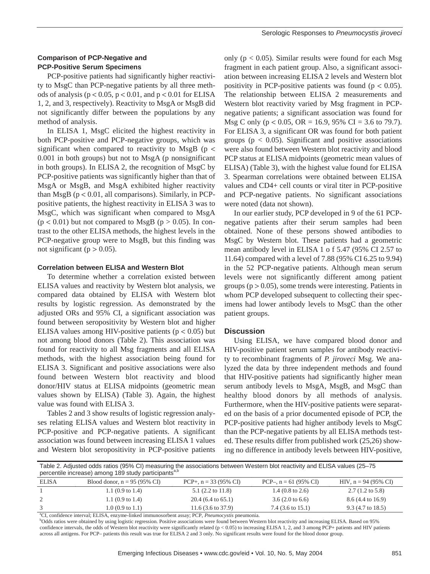PCP-positive patients had significantly higher reactivity to MsgC than PCP-negative patients by all three methods of analysis ( $p < 0.05$ ,  $p < 0.01$ , and  $p < 0.01$  for ELISA 1, 2, and 3, respectively). Reactivity to MsgA or MsgB did not significantly differ between the populations by any method of analysis.

In ELISA 1, MsgC elicited the highest reactivity in both PCP-positive and PCP-negative groups, which was significant when compared to reactivity to MsgB ( $p <$ 0.001 in both groups) but not to MsgA (p nonsignificant in both groups). In ELISA 2, the recognition of MsgC by PCP-positive patients was significantly higher than that of MsgA or MsgB, and MsgA exhibited higher reactivity than MsgB ( $p < 0.01$ , all comparisons). Similarly, in PCPpositive patients, the highest reactivity in ELISA 3 was to MsgC, which was significant when compared to MsgA  $(p < 0.01)$  but not compared to MsgB  $(p > 0.05)$ . In contrast to the other ELISA methods, the highest levels in the PCP-negative group were to MsgB, but this finding was not significant ( $p > 0.05$ ).

# **Correlation between ELISA and Western Blot**

To determine whether a correlation existed between ELISA values and reactivity by Western blot analysis, we compared data obtained by ELISA with Western blot results by logistic regression. As demonstrated by the adjusted ORs and 95% CI, a significant association was found between seropositivity by Western blot and higher ELISA values among HIV-positive patients  $(p < 0.05)$  but not among blood donors (Table 2). This association was found for reactivity to all Msg fragments and all ELISA methods, with the highest association being found for ELISA 3. Significant and positive associations were also found between Western blot reactivity and blood donor/HIV status at ELISA midpoints (geometric mean values shown by ELISA) (Table 3). Again, the highest value was found with ELISA 3.

Tables 2 and 3 show results of logistic regression analyses relating ELISA values and Western blot reactivity in PCP-positive and PCP-negative patients. A significant association was found between increasing ELISA 1 values and Western blot seropositivity in PCP-positive patients

only ( $p < 0.05$ ). Similar results were found for each Msg fragment in each patient group. Also, a significant association between increasing ELISA 2 levels and Western blot positivity in PCP-positive patients was found ( $p < 0.05$ ). The relationship between ELISA 2 measurements and Western blot reactivity varied by Msg fragment in PCPnegative patients; a significant association was found for Msg C only ( $p < 0.05$ , OR = 16.9, 95% CI = 3.6 to 79.7). For ELISA 3, a significant OR was found for both patient groups ( $p < 0.05$ ). Significant and positive associations were also found between Western blot reactivity and blood PCP status at ELISA midpoints (geometric mean values of ELISA) (Table 3), with the highest value found for ELISA 3. Spearman correlations were obtained between ELISA values and CD4+ cell counts or viral titer in PCP-positive and PCP-negative patients. No significant associations were noted (data not shown).

In our earlier study, PCP developed in 9 of the 61 PCPnegative patients after their serum samples had been obtained. None of these persons showed antibodies to MsgC by Western blot. These patients had a geometric mean antibody level in ELISA 1 o f 5.47 (95% CI 2.57 to 11.64) compared with a level of 7.88 (95% CI 6.25 to 9.94) in the 52 PCP-negative patients. Although mean serum levels were not significantly different among patient groups ( $p > 0.05$ ), some trends were interesting. Patients in whom PCP developed subsequent to collecting their specimens had lower antibody levels to MsgC than the other patient groups.

# **Discussion**

Using ELISA, we have compared blood donor and HIV-positive patient serum samples for antibody reactivity to recombinant fragments of *P. jiroveci* Msg. We analyzed the data by three independent methods and found that HIV-positive patients had significantly higher mean serum antibody levels to MsgA, MsgB, and MsgC than healthy blood donors by all methods of analysis. Furthermore, when the HIV-positive patients were separated on the basis of a prior documented episode of PCP, the PCP-positive patients had higher antibody levels to MsgC than the PCP-negative patients by all ELISA methods tested. These results differ from published work (25,26) showing no difference in antibody levels between HIV-positive,

| Table 2. Adjusted odds ratios (95% CI) measuring the associations between Western blot reactivity and ELISA values (25–75<br>percentile increase) among 189 study participants <sup>a,p</sup> |                                         |                             |                         |                                 |  |
|-----------------------------------------------------------------------------------------------------------------------------------------------------------------------------------------------|-----------------------------------------|-----------------------------|-------------------------|---------------------------------|--|
| <b>ELISA</b>                                                                                                                                                                                  | Blood donor, $n = 95 (95\% \text{ CI})$ | $PCP_{+}$ , n = 33 (95% CI) | PCP-. $n = 61$ (95% CI) | HIV, $n = 94 (95\% \text{ CI})$ |  |

| ELISA   | Blood donor, $n = 95 (95\% \text{ CI})$ | $PCP+, n = 33 (95\% CI)$     | PCP-, $n = 61$ (95% CI)     | HIV, $n = 94 (95\% \text{ CI})$ |
|---------|-----------------------------------------|------------------------------|-----------------------------|---------------------------------|
|         | 1.1 $(0.9 \text{ to } 1.4)$             | $5.1$ (2.2 to 11.8)          | 1.4 $(0.8 \text{ to } 2.6)$ | $2.7(1.2 \text{ to } 5.8)$      |
|         | 1.1 $(0.9 \text{ to } 1.4)$             | $20.4(6.4 \text{ to } 65.1)$ | $3.6(2.0 \text{ to } 6.6)$  | 8.6 (4.4 to 16.9)               |
|         | $1.0(0.9 \text{ to } 1.1)$              | $11.6(3.6 \text{ to } 37.9)$ | 7.4 (3.6 to 15.1)           | $9.3$ (4.7 to 18.5)             |
| $2 - 2$ | ---------                               | <b>Manufacturer Service</b>  |                             |                                 |

a CI, confidence interval; ELISA, enzyme-linked immunosorbent assay; PCP, *Pneumocystis* pneumonia.

<sup>b</sup>Odds ratios were obtained by using logistic regression. Positive associations were found between Western blot reactivity and increasing ELISA. Based on 95% confidence intervals, the odds of Western blot reactivity were significantly related (p < 0.05) to increasing ELISA 1, 2, and 3 among PCP+ patients and HIV patients across all antigens. For PCP– patients this result was true for ELISA 2 and 3 only. No significant results were found for the blood donor group.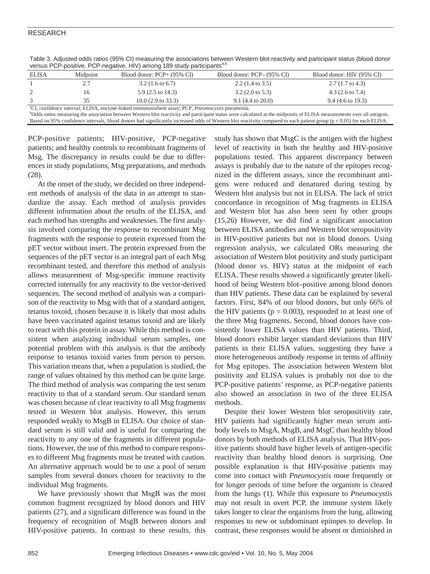# RESEARCH

| <b>ELISA</b>                                                                                                    | Midpoint | Blood donor: $PCP+ (95\% \ CI)$ | Blood donor: PCP– (95% CI)  | Blood donor: HIV (95% CI)   |  |
|-----------------------------------------------------------------------------------------------------------------|----------|---------------------------------|-----------------------------|-----------------------------|--|
|                                                                                                                 | 2.7      | $3.2(1.6 \text{ to } 6.7)$      | $2.2$ (1.4 to 3.5)          | $2.7(1.7 \text{ to } 4.3)$  |  |
|                                                                                                                 | l6       | $5.9$ (2.5 to 14.3)             | $3.2$ (2.0 to 5.3)          | 4.3 $(2.6 \text{ to } 7.4)$ |  |
|                                                                                                                 | 35       | $10.0$ (2.9 to 33.3)            | $9.1(4.4 \text{ to } 20.0)$ | 9.4 (4.6 to 19.3)           |  |
| <sup>a</sup> CI confidence interval: ELISA enzyme linked immunosorbent assay: DCD <i>Proumogystis</i> preumonia |          |                                 |                             |                             |  |

Table 3. Adjusted odds ratios (95% CI) measuring the associations between Western blot reactivity and participant status (blood donor versus PCP-positive, PCP-negative, HIV) among 189 study participants<sup>a,b</sup>

<sup>a</sup>CI, confidence interval; ELISA, enzyme-linked immunosorbent assay; PCP, *Pneumocystis* pneumonia.<br><sup>b</sup>Odds ratios measuring the association between Western blot reactivity and participant status were calculated at the mi

Based on 95% confidence intervals, blood donors had significantly increased odds of Western blot reactivity compared to each patient group (p < 0.05) for each ELISA.

PCP-positive patients; HIV-positive, PCP-negative patients; and healthy controls to recombinant fragments of Msg. The discrepancy in results could be due to differences in study populations, Msg preparations, and methods (28).

At the onset of the study, we decided on three independent methods of analysis of the data in an attempt to standardize the assay. Each method of analysis provides different information about the results of the ELISA, and each method has strengths and weaknesses. The first analysis involved comparing the response to recombinant Msg fragments with the response to protein expressed from the pET vector without insert. The protein expressed from the sequences of the pET vector is an integral part of each Msg recombinant tested, and therefore this method of analysis allows measurement of Msg-specific immune reactivity corrected internally for any reactivity to the vector-derived sequences. The second method of analysis was a comparison of the reactivity to Msg with that of a standard antigen, tetanus toxoid, chosen because it is likely that most adults have been vaccinated against tetanus toxoid and are likely to react with this protein in assay. While this method is consistent when analyzing individual serum samples, one potential problem with this analysis is that the antibody response to tetanus toxoid varies from person to person. This variation means that, when a population is studied, the range of values obtained by this method can be quite large. The third method of analysis was comparing the test serum reactivity to that of a standard serum. Our standard serum was chosen because of clear reactivity to all Msg fragments tested in Western blot analysis. However, this serum responded weakly to MsgB in ELISA. Our choice of standard serum is still valid and is useful for comparing the reactivity to any one of the fragments in different populations. However, the use of this method to compare responses to different Msg fragments must be treated with caution. An alternative approach would be to use a pool of serum samples from several donors chosen for reactivity to the individual Msg fragments.

We have previously shown that MsgB was the most common fragment recognized by blood donors and HIV patients (27), and a significant difference was found in the frequency of recognition of MsgB between donors and HIV-positive patients. In contrast to these results, this

study has shown that MsgC is the antigen with the highest level of reactivity in both the healthy and HIV-positive populations tested. This apparent discrepancy between assays is probably due to the nature of the epitopes recognized in the different assays, since the recombinant antigens were reduced and denatured during testing by Western blot analysis but not in ELISA. The lack of strict concordance in recognition of Msg fragments in ELISA and Western blot has also been seen by other groups (15,26) However, we did find a significant association between ELISA antibodies and Western blot seropositivity in HIV-positive patients but not in blood donors. Using regression analysis, we calculated ORs measuring the association of Western blot positivity and study participant (blood donor vs. HIV) status at the midpoint of each ELISA. These results showed a significantly greater likelihood of being Western blot–positive among blood donors than HIV patients. These data can be explained by several factors. First, 84% of our blood donors, but only 66% of the HIV patients ( $p = 0.003$ ), responded to at least one of the three Msg fragments. Second, blood donors have consistently lower ELISA values than HIV patients. Third, blood donors exhibit larger standard deviations than HIV patients in their ELISA values, suggesting they have a more heterogeneous antibody response in terms of affinity for Msg epitopes. The association between Western blot positivity and ELISA values is probably not due to the PCP-positive patients' response, as PCP-negative patients also showed an association in two of the three ELISA methods.

Despite their lower Western blot seropositivity rate, HIV patients had significantly higher mean serum antibody levels to MsgA, MsgB, and MsgC than healthy blood donors by both methods of ELISA analysis. That HIV-positive patients should have higher levels of antigen-specific reactivity than healthy blood donors is surprising. One possible explanation is that HIV-positive patients may come into contact with *Pneumocystis* more frequently or for longer periods of time before the organism is cleared from the lungs (1). While this exposure to *Pneumocystis* may not result in overt PCP, the immune system likely takes longer to clear the organisms from the lung, allowing responses to new or subdominant epitopes to develop. In contrast, these responses would be absent or diminished in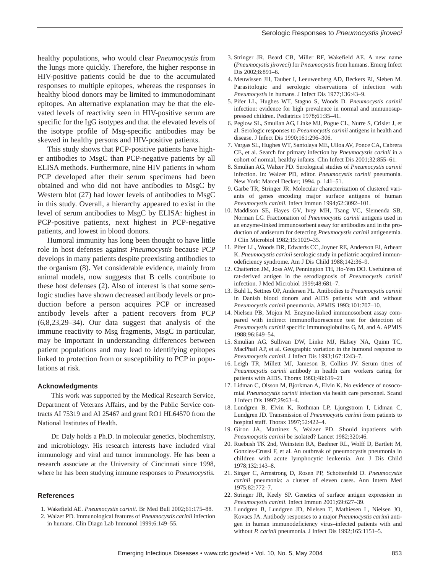healthy populations, who would clear *Pneumocystis* from the lungs more quickly. Therefore, the higher response in HIV-positive patients could be due to the accumulated responses to multiple epitopes, whereas the responses in healthy blood donors may be limited to immunodominant epitopes. An alternative explanation may be that the elevated levels of reactivity seen in HIV-positive serum are specific for the IgG isotypes and that the elevated levels of the isotype profile of Msg-specific antibodies may be skewed in healthy persons and HIV-positive patients.

This study shows that PCP-positive patients have higher antibodies to MsgC than PCP-negative patients by all ELISA methods. Furthermore, nine HIV patients in whom PCP developed after their serum specimens had been obtained and who did not have antibodies to MsgC by Western blot (27) had lower levels of antibodies to MsgC in this study. Overall, a hierarchy appeared to exist in the level of serum antibodies to MsgC by ELISA: highest in PCP-positive patients, next highest in PCP-negative patients, and lowest in blood donors.

Humoral immunity has long been thought to have little role in host defenses against *Pneumocystis* because PCP develops in many patients despite preexisting antibodies to the organism (8). Yet considerable evidence, mainly from animal models, now suggests that B cells contribute to these host defenses (2). Also of interest is that some serologic studies have shown decreased antibody levels or production before a person acquires PCP or increased antibody levels after a patient recovers from PCP (6,8,23,29–34). Our data suggest that analysis of the immune reactivity to Msg fragments, MsgC in particular, may be important in understanding differences between patient populations and may lead to identifying epitopes linked to protection from or susceptibility to PCP in populations at risk.

#### **Acknowledgments**

This work was supported by the Medical Research Service, Department of Veterans Affairs, and by the Public Service contracts AI 75319 and AI 25467 and grant RO1 HL64570 from the National Institutes of Health.

Dr. Daly holds a Ph.D. in molecular genetics, biochemistry, and microbiology. His research interests have included viral immunology and viral and tumor immunology. He has been a research associate at the University of Cincinnati since 1998, where he has been studying immune responses to *Pneumocystis*.

#### **References**

- 1. Wakefield AE. *Pneumocystis carinii*. Br Med Bull 2002;61:175–88.
- 2. Walzer PD. Immunological features of *Pneumocystis carinii* infection
- in humans. Clin Diagn Lab Immunol 1999;6:149–55.
- 3. Stringer JR, Beard CB, Miller RF, Wakefield AE. A new name (*Pneumocystis jiroveci*) for *Pneumocystis* from humans. Emerg Infect Dis 2002;8:891–6.
- 4. Meuwissen JH, Tauber I, Leeuwenberg AD, Beckers PJ, Sieben M. Parasitologic and serologic observations of infection with *Pneumocystis* in humans. J Infect Dis 1977;136:43–9.
- 5. Pifer LL, Hughes WT, Stagno S, Woods D. *Pneumocystis carinii* infection: evidence for high prevalence in normal and immunosuppressed children. Pediatrics 1978;61:35–41.
- 6. Peglow SL, Smulian AG, Linke MJ, Pogue CL, Nurre S, Crisler J, et al. Serologic responses to *Pneumocystis carinii* antigens in health and disease. J Infect Dis 1990;161:296–306.
- 7. Vargas SL, Hughes WT, Santolaya ME, Ulloa AV, Ponce CA, Cabrera CE, et al. Search for primary infection by *Pneumocystis carinii* in a cohort of normal, healthy infants. Clin Infect Dis 2001;32:855–61.
- 8. Smulian AG, Walzer PD. Serological studies of *Pneumocystis carinii* infection. In: Walzer PD, editor. *Pneumocystis carinii* pneumonia. New York: Marcel Decker; 1994. p. 141–51.
- 9. Garbe TR, Stringer JR. Molecular characterization of clustered variants of genes encoding major surface antigens of human *Pneumocystis carinii*. Infect Immun 1994;62:3092–101.
- 10. Maddison SE, Hayes GV, Ivey MH, Tsang VC, Slemenda SB, Norman LG. Fractionation of *Pneumocystis carinii* antigens used in an enzyme-linked immunosorbent assay for antibodies and in the production of antiserum for detecting *Pneumocystis carinii* antigenemia. J Clin Microbiol 1982;15:1029–35.
- 11. Pifer LL, Woods DR, Edwards CC, Joyner RE, Anderson FJ, Arheart K. *Pneumocystis carinii* serologic study in pediatric acquired immunodeficiency syndrome. Am J Dis Child 1988;142:36–9.
- 12. Chatterton JM, Joss AW, Pennington TH, Ho-Yen DO. Usefulness of rat-derived antigen in the serodiagnosis of *Pneumocystis carinii* infection. J Med Microbiol 1999;48:681–7.
- 13. Buhl L, Settnes OP, Andersen PL. Antibodies to *Pneumocystis carinii* in Danish blood donors and AIDS patients with and without *Pneumocystis carinii* pneumonia. APMIS 1993;101:707–10.
- 14. Nielsen PB, Mojon M. Enzyme-linked immunosorbent assay compared with indirect immunofluorescence test for detection of *Pneumocystis carinii* specific immunoglobulins G, M, and A. APMIS 1988;96:649–54.
- 15. Smulian AG, Sullivan DW, Linke MJ, Halsey NA, Quinn TC, MacPhail AP, et al. Geographic variation in the humoral response to *Pneumocystis carinii*. J Infect Dis 1993;167:1243–7.
- 16. Leigh TR, Millett MJ, Jameson B, Collins JV. Serum titres of *Pneumocystis carinii* antibody in health care workers caring for patients with AIDS. Thorax 1993;48:619–21
- 17. Lidman C, Olsson M, Bjorkman A, Elvin K. No evidence of nosocomial *Pneumocystis carinii* infection via health care personnel. Scand J Infect Dis 1997;29:63–4.
- 18. Lundgren B, Elvin K, Rothman LP, Ljungstrom I, Lidman C, Lundgren JD. Transmission of *Pneumocystis carinii* from patients to hospital staff. Thorax 1997;52:422–4.
- 19. Giron JA, Martinez S, Walzer PD. Should inpatients with *Pneumocystis carinii* be isolated? Lancet 1982;320:46.
- 20. Ruebush TK 2nd, Weinstein RA, Baehner RL, Wolff D, Bartlett M, Gonzles-Crussi F, et al. An outbreak of pneumocystis pneumonia in children with acute lymphocytic leukemia. Am J Dis Child 1978;132:143–8.
- 21. Singer C, Armstrong D, Rosen PP, Schottenfeld D. *Pneumocystis carinii* pneumonia: a cluster of eleven cases. Ann Intern Med 1975;82:772–7.
- 22. Stringer JR, Keely SP. Genetics of surface antigen expression in *Pneumocystis carinii*. Infect Immun 2001;69:627–39.
- 23. Lundgren B, Lundgren JD, Nielsen T, Mathiesen L, Nielsen JO, Kovacs JA. Antibody responses to a major *Pneumocystis carinii* antigen in human immunodeficiency virus–infected patients with and without *P. carinii* pneumonia. J Infect Dis 1992;165:1151–5.